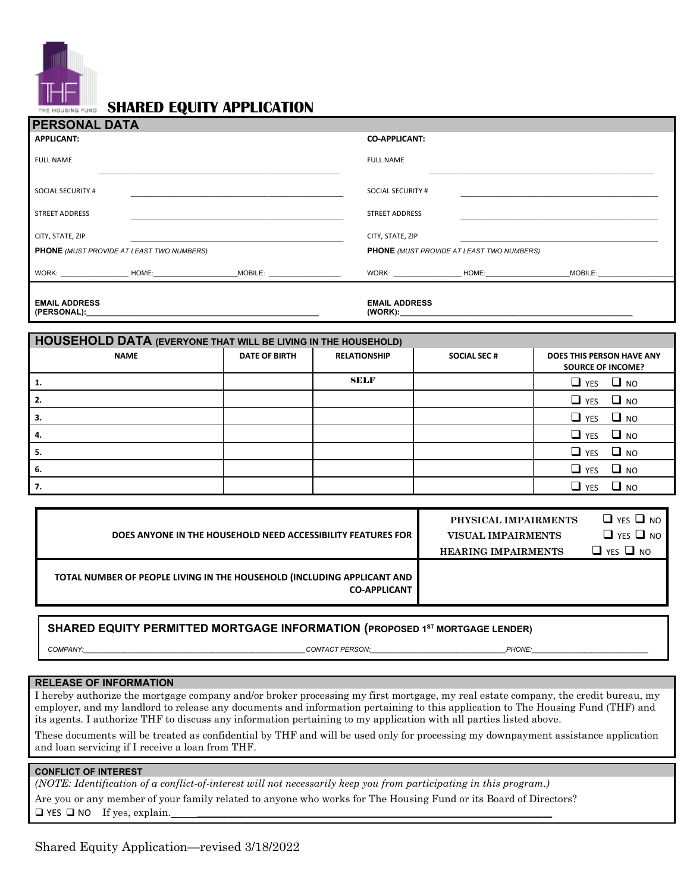

# **SHARED EQUITY APPLICATION**

| <b>PERSONAL DATA</b>                             |                                                                                          |                          |                                                  |                                                                                  |  |
|--------------------------------------------------|------------------------------------------------------------------------------------------|--------------------------|--------------------------------------------------|----------------------------------------------------------------------------------|--|
| <b>APPLICANT:</b>                                |                                                                                          | <b>CO-APPLICANT:</b>     |                                                  |                                                                                  |  |
| <b>FULL NAME</b>                                 |                                                                                          | <b>FULL NAME</b>         |                                                  |                                                                                  |  |
| SOCIAL SECURITY #                                |                                                                                          | <b>SOCIAL SECURITY #</b> |                                                  |                                                                                  |  |
| <b>STREET ADDRESS</b>                            |                                                                                          | <b>STREET ADDRESS</b>    |                                                  |                                                                                  |  |
| CITY, STATE, ZIP                                 |                                                                                          | CITY, STATE, ZIP         |                                                  |                                                                                  |  |
| <b>PHONE</b> (MUST PROVIDE AT LEAST TWO NUMBERS) |                                                                                          |                          | <b>PHONE</b> (MUST PROVIDE AT LEAST TWO NUMBERS) |                                                                                  |  |
|                                                  | WORK: _____________________HOME:_____________________________MOBILE: ___________________ |                          |                                                  | WORK: _____________________HOME:__________________________MOBILE:_______________ |  |
| <b>EMAIL ADDRESS</b>                             |                                                                                          | <b>EMAIL ADDRESS</b>     |                                                  |                                                                                  |  |
|                                                  |                                                                                          |                          |                                                  |                                                                                  |  |

| <b>HOUSEHOLD DATA (EVERYONE THAT WILL BE LIVING IN THE HOUSEHOLD)</b> |                      |                     |                    |                                                       |  |  |
|-----------------------------------------------------------------------|----------------------|---------------------|--------------------|-------------------------------------------------------|--|--|
| <b>NAME</b>                                                           | <b>DATE OF BIRTH</b> | <b>RELATIONSHIP</b> | <b>SOCIAL SEC#</b> | DOES THIS PERSON HAVE ANY<br><b>SOURCE OF INCOME?</b> |  |  |
|                                                                       |                      | <b>SELF</b>         |                    | $\Box$ YES $\Box$ NO                                  |  |  |
|                                                                       |                      |                     |                    | $\Box$ YES $\Box$ NO                                  |  |  |
|                                                                       |                      |                     |                    | $\Box$ YES $\Box$ NO                                  |  |  |
|                                                                       |                      |                     |                    | $\Box$ YES $\Box$ NO                                  |  |  |
|                                                                       |                      |                     |                    | $\Box$ YES $\Box$ NO                                  |  |  |
| 6.                                                                    |                      |                     |                    | $\Box$ NO<br>$\Box$ YES                               |  |  |
| 7.                                                                    |                      |                     |                    | $\Box$ YES<br>⊔ мо                                    |  |  |

|                                                                                                | PHYSICAL IMPAIRMENTS       | $\Box$ YES $\Box$ NO |
|------------------------------------------------------------------------------------------------|----------------------------|----------------------|
| DOES ANYONE IN THE HOUSEHOLD NEED ACCESSIBILITY FEATURES FOR                                   | <b>VISUAL IMPAIRMENTS</b>  | $\Box$ YES $\Box$ NO |
|                                                                                                | <b>HEARING IMPAIRMENTS</b> | $\Box$ YES $\Box$ NO |
| TOTAL NUMBER OF PEOPLE LIVING IN THE HOUSEHOLD (INCLUDING APPLICANT AND<br><b>CO-APPLICANT</b> |                            |                      |

### **SHARED EQUITY PERMITTED MORTGAGE INFORMATION (PROPOSED 1ST MORTGAGE LENDER)**

*COMPANY:\_\_\_\_\_\_\_\_\_\_\_\_\_\_\_\_\_\_\_\_\_\_\_\_\_\_\_\_\_\_\_\_\_\_\_\_\_\_\_\_\_\_\_\_\_\_\_\_\_\_\_\_\_\_\_\_\_\_\_CONTACT PERSON:\_\_\_\_\_\_\_\_\_\_\_\_\_\_\_\_\_\_\_\_\_\_\_\_\_\_\_\_\_\_\_\_\_\_\_\_PHONE:\_\_\_\_\_\_\_\_\_\_\_\_\_\_\_\_\_\_\_\_\_\_\_\_\_\_\_\_\_\_\_*

#### **RELEASE OF INFORMATION**

I hereby authorize the mortgage company and/or broker processing my first mortgage, my real estate company, the credit bureau, my employer, and my landlord to release any documents and information pertaining to this application to The Housing Fund (THF) and its agents. I authorize THF to discuss any information pertaining to my application with all parties listed above.

These documents will be treated as confidential by THF and will be used only for processing my downpayment assistance application and loan servicing if I receive a loan from THF.

#### **CONFLICT OF INTEREST**

*(NOTE: Identification of a conflict-of-interest will not necessarily keep you from participating in this program.)*

Are you or any member of your family related to anyone who works for The Housing Fund or its Board of Directors?  $\Box$  YES  $\Box$  NO If yes, explain.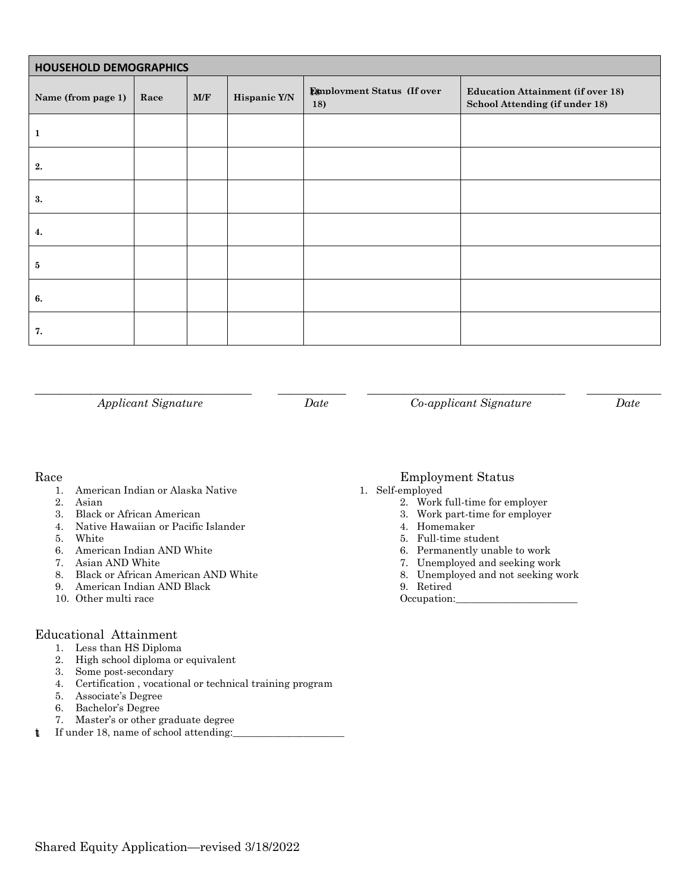| <b>HOUSEHOLD DEMOGRAPHICS</b> |      |     |              |                                   |                                                                            |
|-------------------------------|------|-----|--------------|-----------------------------------|----------------------------------------------------------------------------|
| Name (from page 1)            | Race | M/F | Hispanic Y/N | Employment Status (If over<br>18) | <b>Education Attainment (if over 18)</b><br>School Attending (if under 18) |
| $\mathbf{1}$                  |      |     |              |                                   |                                                                            |
| 2.                            |      |     |              |                                   |                                                                            |
| 3.                            |      |     |              |                                   |                                                                            |
| 4.                            |      |     |              |                                   |                                                                            |
| $\bf{5}$                      |      |     |              |                                   |                                                                            |
| 6.                            |      |     |              |                                   |                                                                            |
| 7.                            |      |     |              |                                   |                                                                            |

\_\_\_\_\_\_\_\_\_\_\_\_\_\_\_\_\_\_\_\_\_\_\_\_\_\_\_\_\_\_\_\_\_\_\_ \_\_\_\_\_\_\_\_\_\_\_ \_\_\_\_\_\_\_\_\_\_\_\_\_\_\_\_\_\_\_\_\_\_\_\_\_\_\_\_\_\_\_\_ \_\_\_\_\_\_\_\_\_\_\_\_

*Applicant Signature Date Co-applicant Signature Date*

t

- 1. American Indian or Alaska Native 1. Self-employed
- 
- 
- 4. Native Hawaiian or Pacific Islander 4. Homemaker
- 
- 5. White 5. White 5. Separate 1.1 and 5. Full-time student 6. American Indian AND White 5. Separate 1.1 and 5. Full-time student 6. American Indian AND White 5. Separate 1.1 and 5. Separate 1.1 and 5. Separate 1.1 and 5. S 6. American Indian AND White 6. Permanently unable to work<br>
6. Permanently unable to work<br>
6. Terms of the state of the state of the state of the state of the state of the state of the state of the state of the state of th
- 
- 8. Black or African American AND White 8. Unemployed and not seeking work
- 9. American Indian AND Black 9. Retired
- 10. Other multi race Occupation:\_\_\_\_\_\_\_\_\_\_\_\_\_\_\_\_\_\_\_\_\_\_\_\_

### Educational Attainment

- 1. Less than HS Diploma
- 2. High school diploma or equivalent
- 3. Some post-secondary
- 4. Certification , vocational or technical training program
- 5. Associate's Degree
- 6. Bachelor's Degree
- 7. Master's or other graduate degree
- If under 18, name of school attending:

### Race Employment Status

- 
- 2. Asian 2. Work full-time for employer
- 3. Black or African American 3. Work part-time for employer
	-
	-
	-
- 7. Asian AND White 7. Unemployed and seeking work
	-
	- -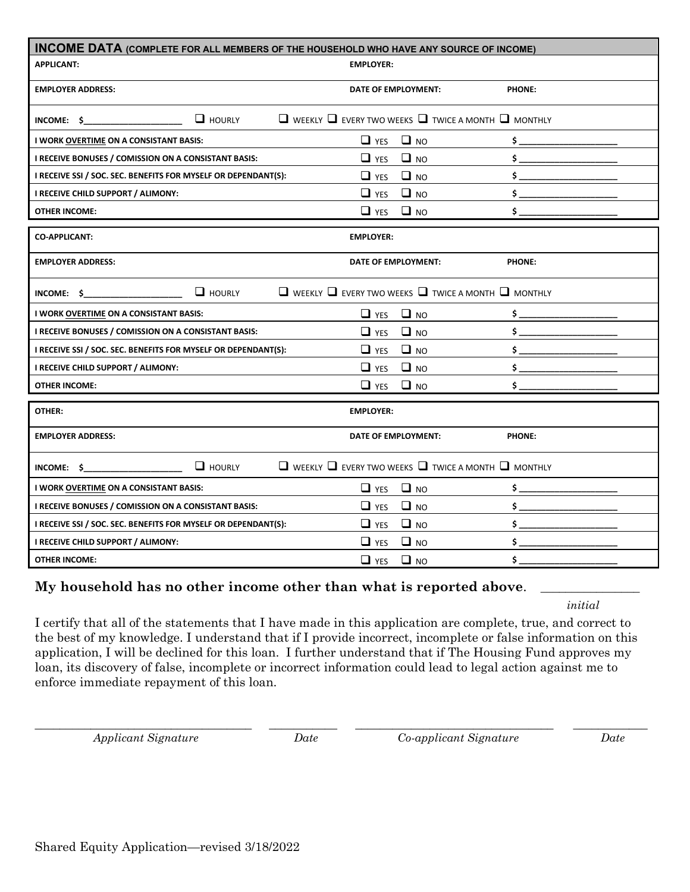| <b>INCOME DATA (COMPLETE FOR ALL MEMBERS OF THE HOUSEHOLD WHO HAVE ANY SOURCE OF INCOME)</b> |                                                                          |                |  |
|----------------------------------------------------------------------------------------------|--------------------------------------------------------------------------|----------------|--|
| <b>APPLICANT:</b>                                                                            | <b>EMPLOYER:</b>                                                         |                |  |
| <b>EMPLOYER ADDRESS:</b>                                                                     | DATE OF EMPLOYMENT:                                                      | <b>PHONE:</b>  |  |
| $\Box$ HOURLY<br>INCOME: $\oint$                                                             | $\Box$ weekly $\Box$ every two weeks $\Box$ twice a month $\Box$ monthly |                |  |
| I WORK OVERTIME ON A CONSISTANT BASIS:                                                       | $\Box$ YES<br>$\Box$ NO                                                  | $\mathsf{S}$   |  |
| I RECEIVE BONUSES / COMISSION ON A CONSISTANT BASIS:                                         | $\Box$ NO<br>$\Box$ YES                                                  | \$             |  |
| I RECEIVE SSI / SOC. SEC. BENEFITS FOR MYSELF OR DEPENDANT(S):                               | $\Box$ NO<br>$\Box$ YES                                                  | \$             |  |
| I RECEIVE CHILD SUPPORT / ALIMONY:                                                           | $\Box$ YES<br>$\Box$ NO                                                  | \$.            |  |
| <b>OTHER INCOME:</b>                                                                         | $\Box$ NO<br>$\Box$ YES                                                  | \$.            |  |
| <b>CO-APPLICANT:</b>                                                                         | <b>EMPLOYER:</b>                                                         |                |  |
| <b>EMPLOYER ADDRESS:</b>                                                                     | DATE OF EMPLOYMENT:                                                      | PHONE:         |  |
| $\Box$ HOURLY<br>INCOME: \$                                                                  | $\Box$ weekly $\Box$ every two weeks $\Box$ twice a month $\Box$ monthly |                |  |
| I WORK OVERTIME ON A CONSISTANT BASIS:                                                       | $\Box$ NO<br>$\Box$ YES                                                  | $\frac{1}{2}$  |  |
| I RECEIVE BONUSES / COMISSION ON A CONSISTANT BASIS:                                         | $\Box$ NO<br>$\Box$ YES                                                  | $\frac{1}{2}$  |  |
| I RECEIVE SSI / SOC. SEC. BENEFITS FOR MYSELF OR DEPENDANT(S):                               | $\Box$ NO<br>$\Box$ YES                                                  | \$             |  |
| I RECEIVE CHILD SUPPORT / ALIMONY:                                                           | $\Box$ NO<br>$\Box$ YES                                                  | \$.            |  |
| <b>OTHER INCOME:</b>                                                                         | $\Box$ NO<br>$\Box$ YES                                                  | \$.            |  |
| OTHER:                                                                                       | <b>EMPLOYER:</b>                                                         |                |  |
| <b>EMPLOYER ADDRESS:</b>                                                                     | DATE OF EMPLOYMENT:                                                      | <b>PHONE:</b>  |  |
| $\Box$ HOURLY<br>$INCOME:$ \$                                                                | $\Box$ weekly $\Box$ every two weeks $\Box$ twice a month $\Box$ monthly |                |  |
| I WORK OVERTIME ON A CONSISTANT BASIS:                                                       | $\Box$ NO<br>$\Box$ YES                                                  | \$.            |  |
| I RECEIVE BONUSES / COMISSION ON A CONSISTANT BASIS:                                         | $\Box$ NO<br>$\Box$ YES                                                  | \$.            |  |
| I RECEIVE SSI / SOC. SEC. BENEFITS FOR MYSELF OR DEPENDANT(S):                               | $\Box$ NO<br>$\Box$ YES                                                  | $\mathsf{S}$   |  |
| I RECEIVE CHILD SUPPORT / ALIMONY:                                                           | $\Box$ NO<br>$\Box$ YES                                                  | $\mathsf{S}_1$ |  |
| <b>OTHER INCOME:</b>                                                                         | $\Box$ NO<br>$\Box$ YES                                                  | \$.            |  |

# My household has no other income other than what is reported above.

*initial*

I certify that all of the statements that I have made in this application are complete, true, and correct to the best of my knowledge. I understand that if I provide incorrect, incomplete or false information on this application, I will be declined for this loan. I further understand that if The Housing Fund approves my loan, its discovery of false, incomplete or incorrect information could lead to legal action against me to enforce immediate repayment of this loan.

\_\_\_\_\_\_\_\_\_\_\_\_\_\_\_\_\_\_\_\_\_\_\_\_\_\_\_\_\_\_\_\_\_\_\_ \_\_\_\_\_\_\_\_\_\_\_ \_\_\_\_\_\_\_\_\_\_\_\_\_\_\_\_\_\_\_\_\_\_\_\_\_\_\_\_\_\_\_\_ \_\_\_\_\_\_\_\_\_\_\_\_ *Applicant Signature Date Co-applicant Signature Date*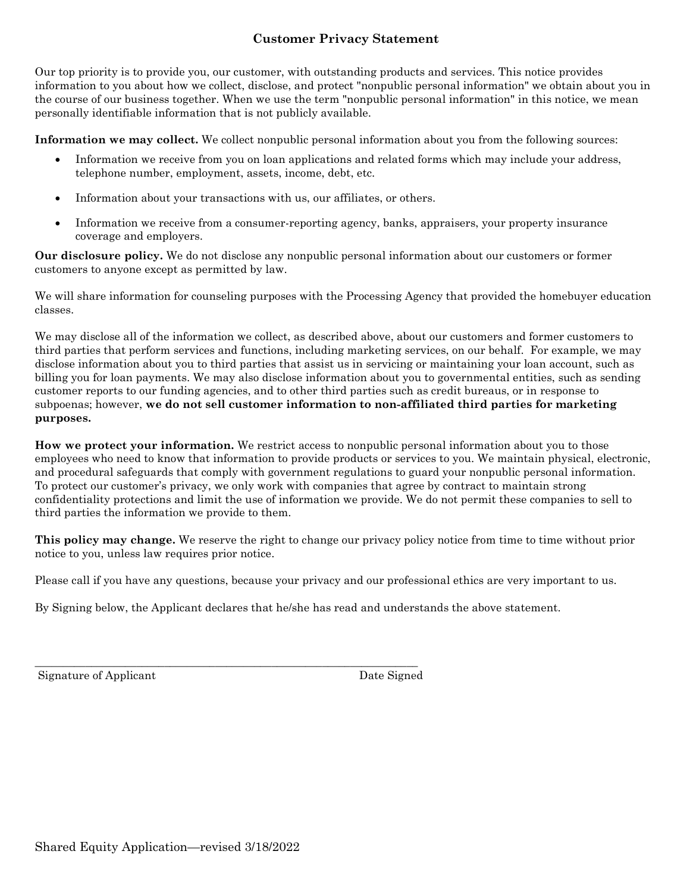# **Customer Privacy Statement**

Our top priority is to provide you, our customer, with outstanding products and services. This notice provides information to you about how we collect, disclose, and protect "nonpublic personal information" we obtain about you in the course of our business together. When we use the term "nonpublic personal information" in this notice, we mean personally identifiable information that is not publicly available.

**Information we may collect.** We collect nonpublic personal information about you from the following sources:

- Information we receive from you on loan applications and related forms which may include your address, telephone number, employment, assets, income, debt, etc.
- Information about your transactions with us, our affiliates, or others.
- Information we receive from a consumer-reporting agency, banks, appraisers, your property insurance coverage and employers.

**Our disclosure policy.** We do not disclose any nonpublic personal information about our customers or former customers to anyone except as permitted by law.

We will share information for counseling purposes with the Processing Agency that provided the homebuyer education classes.

We may disclose all of the information we collect, as described above, about our customers and former customers to third parties that perform services and functions, including marketing services, on our behalf. For example, we may disclose information about you to third parties that assist us in servicing or maintaining your loan account, such as billing you for loan payments. We may also disclose information about you to governmental entities, such as sending customer reports to our funding agencies, and to other third parties such as credit bureaus, or in response to subpoenas; however, **we do not sell customer information to non-affiliated third parties for marketing purposes.** 

**How we protect your information.** We restrict access to nonpublic personal information about you to those employees who need to know that information to provide products or services to you. We maintain physical, electronic, and procedural safeguards that comply with government regulations to guard your nonpublic personal information. To protect our customer's privacy, we only work with companies that agree by contract to maintain strong confidentiality protections and limit the use of information we provide. We do not permit these companies to sell to third parties the information we provide to them.

**This policy may change.** We reserve the right to change our privacy policy notice from time to time without prior notice to you, unless law requires prior notice.

Please call if you have any questions, because your privacy and our professional ethics are very important to us.

By Signing below, the Applicant declares that he/she has read and understands the above statement.

\_\_\_\_\_\_\_\_\_\_\_\_\_\_\_\_\_\_\_\_\_\_\_\_\_\_\_\_\_\_\_\_\_\_\_\_\_\_\_\_\_\_\_\_\_\_\_\_\_\_\_\_\_\_\_\_\_\_\_\_\_\_\_\_\_\_\_\_

Signature of Applicant Date Signed